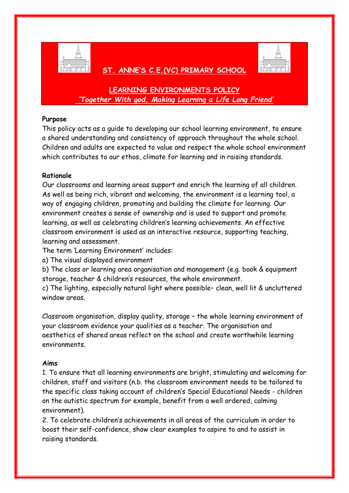

# **ST. ANNE'S C.E.(VC) PRIMARY SCHOOL**



# **LEARNING ENVIRONMENTS POLICY** *'Together With god, Making Learning a Life Long Friend'*

# **Purpose**

This policy acts as a guide to developing our school learning environment, to ensure a shared understanding and consistency of approach throughout the whole school. Children and adults are expected to value and respect the whole school environment which contributes to our ethos, climate for learning and in raising standards.

# **Rationale**

Our classrooms and learning areas support and enrich the learning of all children. As well as being rich, vibrant and welcoming, the environment is a learning tool, a way of engaging children, promoting and building the climate for learning. Our environment creates a sense of ownership and is used to support and promote learning, as well as celebrating children's learning achievements. An effective classroom environment is used as an interactive resource, supporting teaching, learning and assessment.

The term 'Learning Environment' includes:

a) The visual displayed environment

b) The class or learning area organisation and management (e.g. book & equipment storage, teacher & children's resources, the whole environment.

c) The lighting, especially natural light where possible– clean, well lit & uncluttered window areas.

Classroom organisation, display quality, storage – the whole learning environment of your classroom evidence your qualities as a teacher. The organisation and aesthetics of shared areas reflect on the school and create worthwhile learning environments.

### **Aims**

1. To ensure that all learning environments are bright, stimulating and welcoming for children, staff and visitors (n.b. the classroom environment needs to be tailored to the specific class taking account of children's Special Educational Needs - children on the autistic spectrum for example, benefit from a well ordered, calming environment).

2. To celebrate children's achievements in all areas of the curriculum in order to boost their self-confidence, show clear examples to aspire to and to assist in raising standards.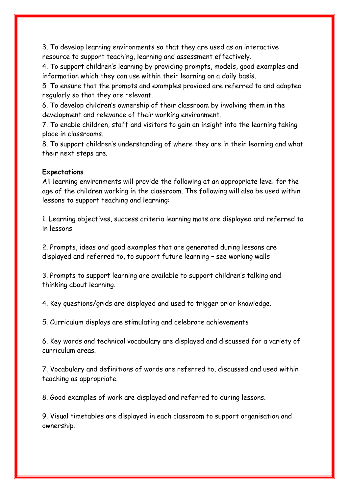3. To develop learning environments so that they are used as an interactive resource to support teaching, learning and assessment effectively.

4. To support children's learning by providing prompts, models, good examples and information which they can use within their learning on a daily basis.

5. To ensure that the prompts and examples provided are referred to and adapted regularly so that they are relevant.

6. To develop children's ownership of their classroom by involving them in the development and relevance of their working environment.

7. To enable children, staff and visitors to gain an insight into the learning taking place in classrooms.

8. To support children's understanding of where they are in their learning and what their next steps are.

#### **Expectations**

All learning environments will provide the following at an appropriate level for the age of the children working in the classroom. The following will also be used within lessons to support teaching and learning:

1. Learning objectives, success criteria learning mats are displayed and referred to in lessons

2. Prompts, ideas and good examples that are generated during lessons are displayed and referred to, to support future learning – see working walls

3. Prompts to support learning are available to support children's talking and thinking about learning.

4. Key questions/grids are displayed and used to trigger prior knowledge.

5. Curriculum displays are stimulating and celebrate achievements

6. Key words and technical vocabulary are displayed and discussed for a variety of curriculum areas.

7. Vocabulary and definitions of words are referred to, discussed and used within teaching as appropriate.

8. Good examples of work are displayed and referred to during lessons.

9. Visual timetables are displayed in each classroom to support organisation and ownership.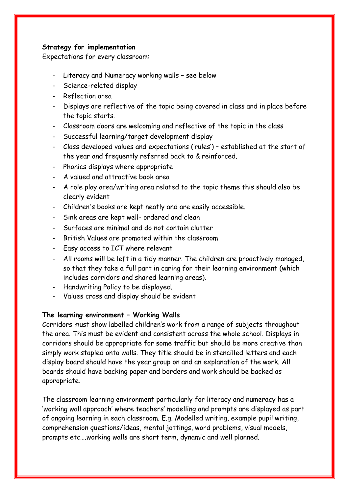### **Strategy for implementation**

Expectations for every classroom:

- Literacy and Numeracy working walls see below
- Science-related display
- Reflection area
- Displays are reflective of the topic being covered in class and in place before the topic starts.
- Classroom doors are welcoming and reflective of the topic in the class
- Successful learning/target development display
- Class developed values and expectations ('rules') established at the start of the year and frequently referred back to & reinforced.
- Phonics displays where appropriate
- A valued and attractive book area
- A role play area/writing area related to the topic theme this should also be clearly evident
- Children's books are kept neatly and are easily accessible.
- Sink areas are kept well- ordered and clean
- Surfaces are minimal and do not contain clutter
- British Values are promoted within the classroom
- Easy access to ICT where relevant
- All rooms will be left in a tidy manner. The children are proactively managed, so that they take a full part in caring for their learning environment (which includes corridors and shared learning areas).
- Handwriting Policy to be displayed.
- Values cross and display should be evident

### **The learning environment – Working Walls**

Corridors must show labelled children's work from a range of subjects throughout the area. This must be evident and consistent across the whole school. Displays in corridors should be appropriate for some traffic but should be more creative than simply work stapled onto walls. They title should be in stencilled letters and each display board should have the year group on and an explanation of the work. All boards should have backing paper and borders and work should be backed as appropriate.

The classroom learning environment particularly for literacy and numeracy has a 'working wall approach' where teachers' modelling and prompts are displayed as part of ongoing learning in each classroom. E.g. Modelled writing, example pupil writing, comprehension questions/ideas, mental jottings, word problems, visual models, prompts etc….working walls are short term, dynamic and well planned.